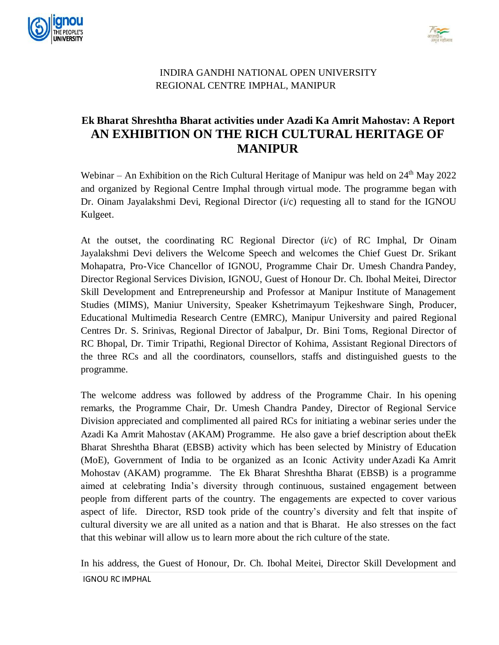



## INDIRA GANDHI NATIONAL OPEN UNIVERSITY REGIONAL CENTRE IMPHAL, MANIPUR

## **Ek Bharat Shreshtha Bharat activities under Azadi Ka Amrit Mahostav: A Report AN EXHIBITION ON THE RICH CULTURAL HERITAGE OF MANIPUR**

Webinar – An Exhibition on the Rich Cultural Heritage of Manipur was held on  $24<sup>th</sup>$  May 2022 and organized by Regional Centre Imphal through virtual mode. The programme began with Dr. Oinam Jayalakshmi Devi, Regional Director  $(i/c)$  requesting all to stand for the IGNOU Kulgeet.

At the outset, the coordinating RC Regional Director (i/c) of RC Imphal, Dr Oinam Jayalakshmi Devi delivers the Welcome Speech and welcomes the Chief Guest Dr. Srikant Mohapatra, Pro-Vice Chancellor of IGNOU, Programme Chair Dr. Umesh Chandra Pandey, Director Regional Services Division, IGNOU, Guest of Honour Dr. Ch. Ibohal Meitei, Director Skill Development and Entrepreneurship and Professor at Manipur Institute of Management Studies (MIMS), Maniur University, Speaker Kshetrimayum Tejkeshware Singh, Producer, Educational Multimedia Research Centre (EMRC), Manipur University and paired Regional Centres Dr. S. Srinivas, Regional Director of Jabalpur, Dr. Bini Toms, Regional Director of RC Bhopal, Dr. Timir Tripathi, Regional Director of Kohima, Assistant Regional Directors of the three RCs and all the coordinators, counsellors, staffs and distinguished guests to the programme.

The welcome address was followed by address of the Programme Chair. In his opening remarks, the Programme Chair, Dr. Umesh Chandra Pandey, Director of Regional Service Division appreciated and complimented all paired RCs for initiating a webinar series under the Azadi Ka Amrit Mahostav (AKAM) Programme. He also gave a brief description about theEk Bharat Shreshtha Bharat (EBSB) activity which has been selected by Ministry of Education (MoE), Government of India to be organized as an Iconic Activity underAzadi Ka Amrit Mohostav (AKAM) programme. The Ek Bharat Shreshtha Bharat (EBSB) is a programme aimed at celebrating India's diversity through continuous, sustained engagement between people from different parts of the country. The engagements are expected to cover various aspect of life. Director, RSD took pride of the country's diversity and felt that inspite of cultural diversity we are all united as a nation and that is Bharat. He also stresses on the fact that this webinar will allow us to learn more about the rich culture of the state.

IGNOU RC IMPHAL In his address, the Guest of Honour, Dr. Ch. Ibohal Meitei, Director Skill Development and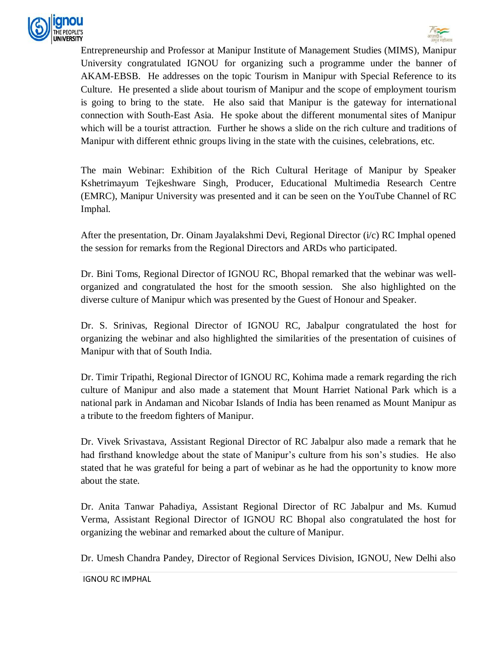



Entrepreneurship and Professor at Manipur Institute of Management Studies (MIMS), Manipur University congratulated IGNOU for organizing such a programme under the banner of AKAM-EBSB. He addresses on the topic Tourism in Manipur with Special Reference to its Culture. He presented a slide about tourism of Manipur and the scope of employment tourism is going to bring to the state. He also said that Manipur is the gateway for international connection with South-East Asia. He spoke about the different monumental sites of Manipur which will be a tourist attraction. Further he shows a slide on the rich culture and traditions of Manipur with different ethnic groups living in the state with the cuisines, celebrations, etc.

The main Webinar: Exhibition of the Rich Cultural Heritage of Manipur by Speaker Kshetrimayum Tejkeshware Singh, Producer, Educational Multimedia Research Centre (EMRC), Manipur University was presented and it can be seen on the YouTube Channel of RC Imphal.

After the presentation, Dr. Oinam Jayalakshmi Devi, Regional Director (i/c) RC Imphal opened the session for remarks from the Regional Directors and ARDs who participated.

Dr. Bini Toms, Regional Director of IGNOU RC, Bhopal remarked that the webinar was wellorganized and congratulated the host for the smooth session. She also highlighted on the diverse culture of Manipur which was presented by the Guest of Honour and Speaker.

Dr. S. Srinivas, Regional Director of IGNOU RC, Jabalpur congratulated the host for organizing the webinar and also highlighted the similarities of the presentation of cuisines of Manipur with that of South India.

Dr. Timir Tripathi, Regional Director of IGNOU RC, Kohima made a remark regarding the rich culture of Manipur and also made a statement that Mount Harriet National Park which is a national park in Andaman and Nicobar Islands of India has been renamed as Mount Manipur as a tribute to the freedom fighters of Manipur.

Dr. Vivek Srivastava, Assistant Regional Director of RC Jabalpur also made a remark that he had firsthand knowledge about the state of Manipur's culture from his son's studies. He also stated that he was grateful for being a part of webinar as he had the opportunity to know more about the state.

Dr. Anita Tanwar Pahadiya, Assistant Regional Director of RC Jabalpur and Ms. Kumud Verma, Assistant Regional Director of IGNOU RC Bhopal also congratulated the host for organizing the webinar and remarked about the culture of Manipur.

Dr. Umesh Chandra Pandey, Director of Regional Services Division, IGNOU, New Delhi also